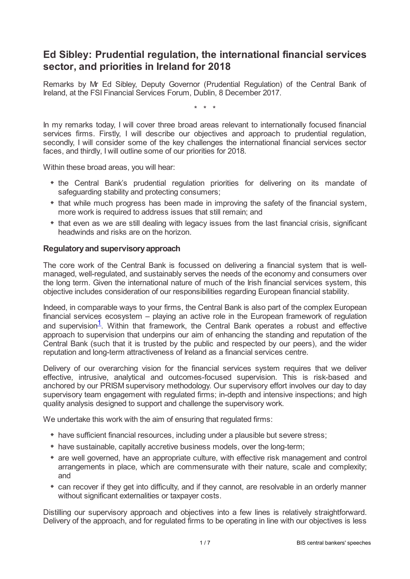# **Ed Sibley: Prudential regulation, the international financial services sector, and priorities in Ireland for 2018**

Remarks by Mr Ed Sibley, Deputy Governor (Prudential Regulation) of the Central Bank of Ireland, at the FSI Financial Services Forum, Dublin, 8 December 2017.

\* \* \*

In my remarks today, I will cover three broad areas relevant to internationally focused financial services firms. Firstly, I will describe our objectives and approach to prudential regulation, secondly, I will consider some of the key challenges the international financial services sector faces, and thirdly, I will outline some of our priorities for 2018.

Within these broad areas, you will hear:

- the Central Bank's prudential regulation priorities for delivering on its mandate of safeguarding stability and protecting consumers;
- that while much progress has been made in improving the safety of the financial system, more work is required to address issues that still remain; and
- that even as we are still dealing with legacy issues from the last financial crisis, significant headwinds and risks are on the horizon.

## **Regulatoryand supervisoryapproach**

The core work of the Central Bank is focussed on delivering a financial system that is wellmanaged, well-regulated, and sustainably serves the needs of the economy and consumers over the long term. Given the international nature of much of the Irish financial services system, this objective includes consideration of our responsibilities regarding European financial stability.

<span id="page-0-0"></span>Indeed, in comparable ways to your firms, the Central Bank is also part of the complex European financial services ecosystem – playing an active role in the European framework of regulation and supervision<sup>[1](#page-5-0)</sup>. Within that framework, the Central Bank operates a robust and effective approach to supervision that underpins our aim of enhancing the standing and reputation of the Central Bank (such that it is trusted by the public and respected by our peers), and the wider reputation and long-term attractiveness of Ireland as a financial services centre.

Delivery of our overarching vision for the financial services system requires that we deliver effective, intrusive, analytical and outcomes-focused supervision. This is risk-based and anchored by our PRISM supervisory methodology. Our supervisory effort involves our day to day supervisory team engagement with regulated firms; in-depth and intensive inspections; and high quality analysis designed to support and challenge the supervisory work.

We undertake this work with the aim of ensuring that regulated firms:

- have sufficient financial resources, including under a plausible but severe stress;
- have sustainable, capitally accretive business models, over the long-term;
- are well governed, have an appropriate culture, with effective risk management and control arrangements in place, which are commensurate with their nature, scale and complexity; and
- can recover if they get into difficulty, and if they cannot, are resolvable in an orderly manner without significant externalities or taxpayer costs.

Distilling our supervisory approach and objectives into a few lines is relatively straightforward. Delivery of the approach, and for regulated firms to be operating in line with our objectives is less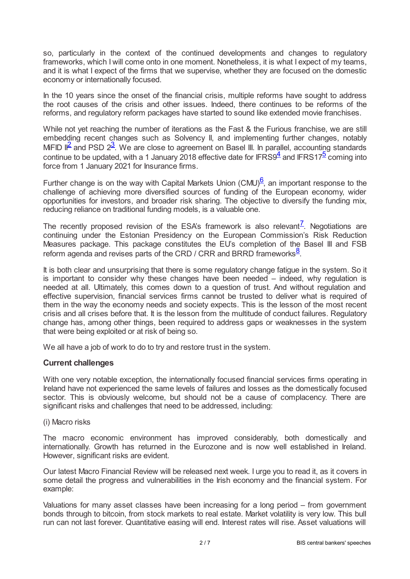so, particularly in the context of the continued developments and changes to regulatory frameworks, which I will come onto in one moment. Nonetheless, it is what I expect of my teams, and it is what I expect of the firms that we supervise, whether they are focused on the domestic economy or internationally focused.

In the 10 years since the onset of the financial crisis, multiple reforms have sought to address the root causes of the crisis and other issues. Indeed, there continues to be reforms of the reforms, and regulatory reform packages have started to sound like extended movie franchises.

<span id="page-1-1"></span><span id="page-1-0"></span>While not yet reaching the number of iterations as the Fast & the Furious franchise, we are still embedding recent changes such as Solvency II, and implementing further changes, notably MiFID I $\frac{2}{3}$  $\frac{2}{3}$  $\frac{2}{3}$  $\frac{2}{3}$  $\frac{2}{3}$  and PSD  $2^{\frac{3}{2}}$ . We are close to agreement on Basel III. In parallel, accounting standards continue to be updated, with a 1 January 2018 effective date for IFRS9 $\frac{4}{3}$  $\frac{4}{3}$  $\frac{4}{3}$  and IFRS17<sup>[5](#page-5-4)</sup> coming into force from 1 January 2021 for Insurance firms.

<span id="page-1-4"></span><span id="page-1-3"></span><span id="page-1-2"></span>Further change is on the way with Capital Markets Union (CMU) $6$ , an important response to the challenge of achieving more diversified sources of funding of the European economy, wider opportunities for investors, and broader risk sharing. The objective to diversify the funding mix, reducing reliance on traditional funding models, is a valuable one.

<span id="page-1-5"></span>The recently proposed revision of the ESA's framework is also relevant<sup>Z</sup>. Negotiations are continuing under the Estonian Presidency on the European Commission's Risk Reduction Measures package. This package constitutes the EU's completion of the Basel III and FSB reform agenda and revises parts of the CRD / CRR and BRRD frameworks $\frac{8}{3}$  $\frac{8}{3}$  $\frac{8}{3}$ .

<span id="page-1-6"></span>It is both clear and unsurprising that there is some regulatory change fatigue in the system. So it is important to consider why these changes have been needed – indeed, why regulation is needed at all. Ultimately, this comes down to a question of trust. And without regulation and effective supervision, financial services firms cannot be trusted to deliver what is required of them in the way the economy needs and society expects. This is the lesson of the most recent crisis and all crises before that. It is the lesson from the multitude of conduct failures. Regulatory change has, among other things, been required to address gaps or weaknesses in the system that were being exploited or at risk of being so.

We all have a job of work to do to try and restore trust in the system.

## **Current challenges**

With one very notable exception, the internationally focused financial services firms operating in Ireland have not experienced the same levels of failures and losses as the domestically focused sector. This is obviously welcome, but should not be a cause of complacency. There are significant risks and challenges that need to be addressed, including:

## (i) Macro risks

The macro economic environment has improved considerably, both domestically and internationally. Growth has returned in the Eurozone and is now well established in Ireland. However, significant risks are evident.

Our latest Macro Financial Review will be released next week. I urge you to read it, as it covers in some detail the progress and vulnerabilities in the Irish economy and the financial system. For example:

Valuations for many asset classes have been increasing for a long period – from government bonds through to bitcoin, from stock markets to real estate. Market volatility is very low. This bull run can not last forever. Quantitative easing will end. Interest rates will rise. Asset valuations will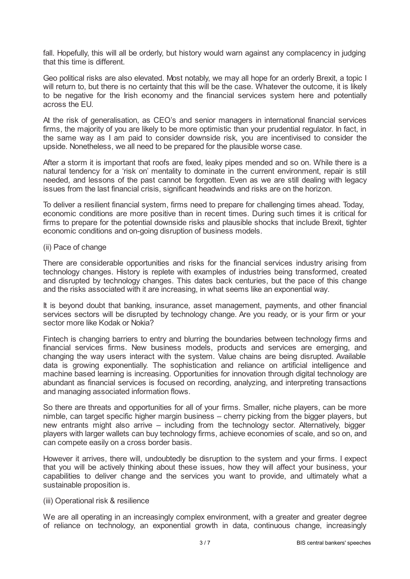fall. Hopefully, this will all be orderly, but history would warn against any complacency in judging that this time is different.

Geo political risks are also elevated. Most notably, we may all hope for an orderly Brexit, a topic I will return to, but there is no certainty that this will be the case. Whatever the outcome, it is likely to be negative for the Irish economy and the financial services system here and potentially across the EU.

At the risk of generalisation, as CEO's and senior managers in international financial services firms, the majority of you are likely to be more optimistic than your prudential regulator. In fact, in the same way as I am paid to consider downside risk, you are incentivised to consider the upside. Nonetheless, we all need to be prepared for the plausible worse case.

After a storm it is important that roofs are fixed, leaky pipes mended and so on. While there is a natural tendency for a 'risk on' mentality to dominate in the current environment, repair is still needed, and lessons of the past cannot be forgotten. Even as we are still dealing with legacy issues from the last financial crisis, significant headwinds and risks are on the horizon.

To deliver a resilient financial system, firms need to prepare for challenging times ahead. Today, economic conditions are more positive than in recent times. During such times it is critical for firms to prepare for the potential downside risks and plausible shocks that include Brexit, tighter economic conditions and on-going disruption of business models.

#### (ii) Pace of change

There are considerable opportunities and risks for the financial services industry arising from technology changes. History is replete with examples of industries being transformed, created and disrupted by technology changes. This dates back centuries, but the pace of this change and the risks associated with it are increasing, in what seems like an exponential way.

It is beyond doubt that banking, insurance, asset management, payments, and other financial services sectors will be disrupted by technology change. Are you ready, or is your firm or your sector more like Kodak or Nokia?

Fintech is changing barriers to entry and blurring the boundaries between technology firms and financial services firms. New business models, products and services are emerging, and changing the way users interact with the system. Value chains are being disrupted. Available data is growing exponentially. The sophistication and reliance on artificial intelligence and machine based learning is increasing. Opportunities for innovation through digital technology are abundant as financial services is focused on recording, analyzing, and interpreting transactions and managing associated information flows.

So there are threats and opportunities for all of your firms. Smaller, niche players, can be more nimble, can target specific higher margin business – cherry picking from the bigger players, but new entrants might also arrive – including from the technology sector. Alternatively, bigger players with larger wallets can buy technology firms, achieve economies of scale, and so on, and can compete easily on a cross border basis.

However it arrives, there will, undoubtedly be disruption to the system and your firms. I expect that you will be actively thinking about these issues, how they will affect your business, your capabilities to deliver change and the services you want to provide, and ultimately what a sustainable proposition is.

#### (iii) Operational risk & resilience

We are all operating in an increasingly complex environment, with a greater and greater degree of reliance on technology, an exponential growth in data, continuous change, increasingly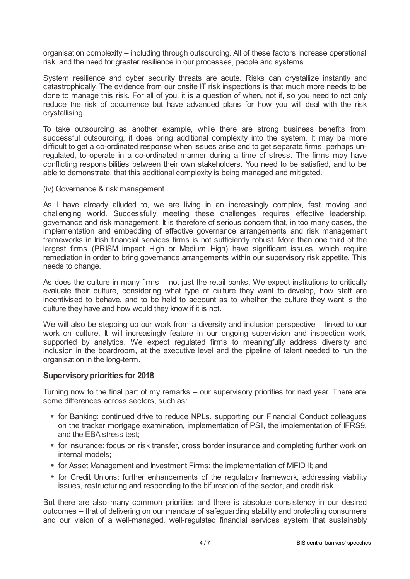organisation complexity – including through outsourcing. All of these factors increase operational risk, and the need for greater resilience in our processes, people and systems.

System resilience and cyber security threats are acute. Risks can crystallize instantly and catastrophically. The evidence from our onsite IT risk inspections is that much more needs to be done to manage this risk. For all of you, it is a question of when, not if, so you need to not only reduce the risk of occurrence but have advanced plans for how you will deal with the risk crystallising.

To take outsourcing as another example, while there are strong business benefits from successful outsourcing, it does bring additional complexity into the system. It may be more difficult to get a co-ordinated response when issues arise and to get separate firms, perhaps unregulated, to operate in a co-ordinated manner during a time of stress. The firms may have conflicting responsibilities between their own stakeholders. You need to be satisfied, and to be able to demonstrate, that this additional complexity is being managed and mitigated.

(iv) Governance & risk management

As I have already alluded to, we are living in an increasingly complex, fast moving and challenging world. Successfully meeting these challenges requires effective leadership, governance and risk management. It is therefore of serious concern that, in too many cases, the implementation and embedding of effective governance arrangements and risk management frameworks in Irish financial services firms is not sufficiently robust. More than one third of the largest firms (PRISM impact High or Medium High) have significant issues, which require remediation in order to bring governance arrangements within our supervisory risk appetite. This needs to change.

As does the culture in many firms – not just the retail banks. We expect institutions to critically evaluate their culture, considering what type of culture they want to develop, how staff are incentivised to behave, and to be held to account as to whether the culture they want is the culture they have and how would they know if it is not.

We will also be stepping up our work from a diversity and inclusion perspective – linked to our work on culture. It will increasingly feature in our ongoing supervision and inspection work, supported by analytics. We expect regulated firms to meaningfully address diversity and inclusion in the boardroom, at the executive level and the pipeline of talent needed to run the organisation in the long-term.

## **Supervisory priorities for 2018**

Turning now to the final part of my remarks – our supervisory priorities for next year. There are some differences across sectors, such as:

- for Banking: continued drive to reduce NPLs, supporting our Financial Conduct colleagues on the tracker mortgage examination, implementation of PSII, the implementation of IFRS9, and the EBA stress test;
- for insurance: focus on risk transfer, cross border insurance and completing further work on internal models;
- for Asset Management and Investment Firms: the implementation of MiFID II; and
- \* for Credit Unions: further enhancements of the regulatory framework, addressing viability issues, restructuring and responding to the bifurcation of the sector, and credit risk.

But there are also many common priorities and there is absolute consistency in our desired outcomes – that of delivering on our mandate of safeguarding stability and protecting consumers and our vision of a well-managed, well-regulated financial services system that sustainably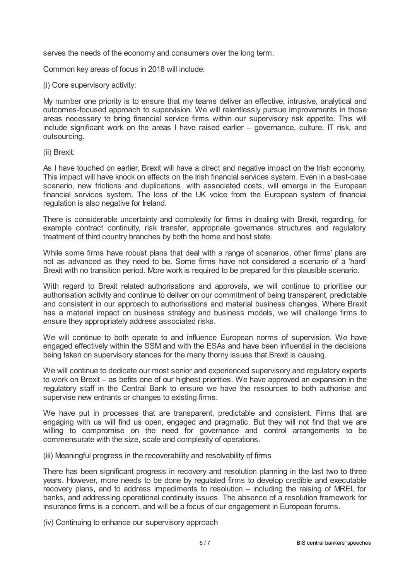serves the needs of the economy and consumers over the long term.

Common key areas of focus in 2018 will include:

(i) Core supervisory activity:

My number one priority is to ensure that my teams deliver an effective, intrusive, analytical and outcomes-focused approach to supervision. We will relentlessly pursue improvements in those areas necessary to bring financial service firms within our supervisory risk appetite. This will include significant work on the areas I have raised earlier – governance, culture, IT risk, and outsourcing.

(ii) Brexit:

As I have touched on earlier, Brexit will have a direct and negative impact on the Irish economy. This impact will have knock on effects on the Irish financial services system. Even in a best-case scenario, new frictions and duplications, with associated costs, will emerge in the European financial services system. The loss of the UK voice from the European system of financial regulation is also negative for Ireland.

There is considerable uncertainty and complexity for firms in dealing with Brexit, regarding, for example contract continuity, risk transfer, appropriate governance structures and regulatory treatment of third country branches by both the home and host state.

While some firms have robust plans that deal with a range of scenarios, other firms' plans are not as advanced as they need to be. Some firms have not considered a scenario of a 'hard' Brexit with no transition period. More work is required to be prepared for this plausible scenario.

With regard to Brexit related authorisations and approvals, we will continue to prioritise our authorisation activity and continue to deliver on our commitment of being transparent, predictable and consistent in our approach to authorisations and material business changes. Where Brexit has a material impact on business strategy and business models, we will challenge firms to ensure they appropriately address associated risks.

We will continue to both operate to and influence European norms of supervision. We have engaged effectively within the SSM and with the ESAs and have been influential in the decisions being taken on supervisory stances for the many thorny issues that Brexit is causing.

We will continue to dedicate our most senior and experienced supervisory and regulatory experts to work on Brexit – as befits one of our highest priorities. We have approved an expansion in the regulatory staff in the Central Bank to ensure we have the resources to both authorise and supervise new entrants or changes to existing firms.

We have put in processes that are transparent, predictable and consistent. Firms that are engaging with us will find us open, engaged and pragmatic. But they will not find that we are willing to compromise on the need for governance and control arrangements to be commensurate with the size, scale and complexity of operations.

(iii) Meaningful progress in the recoverability and resolvability of firms

There has been significant progress in recovery and resolution planning in the last two to three years. However, more needs to be done by regulated firms to develop credible and executable recovery plans, and to address impediments to resolution – including the raising of MREL for banks, and addressing operational continuity issues. The absence of a resolution framework for insurance firms is a concern, and will be a focus of our engagement in European forums.

(iv) Continuing to enhance our supervisory approach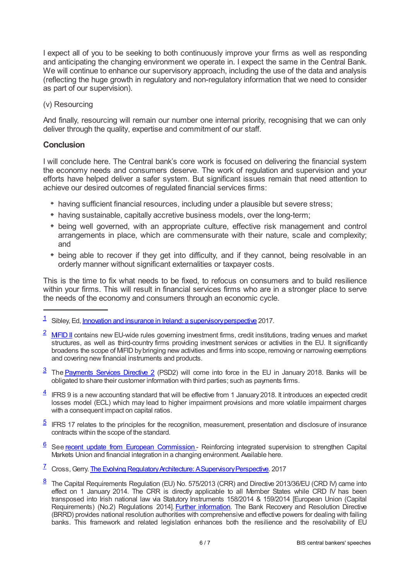I expect all of you to be seeking to both continuously improve your firms as well as responding and anticipating the changing environment we operate in. I expect the same in the Central Bank. We will continue to enhance our supervisory approach, including the use of the data and analysis (reflecting the huge growth in regulatory and non-regulatory information that we need to consider as part of our supervision).

#### (v) Resourcing

And finally, resourcing will remain our number one internal priority, recognising that we can only deliver through the quality, expertise and commitment of our staff.

## **Conclusion**

I will conclude here. The Central bank's core work is focused on delivering the financial system the economy needs and consumers deserve. The work of regulation and supervision and your efforts have helped deliver a safer system. But significant issues remain that need attention to achieve our desired outcomes of regulated financial services firms:

- having sufficient financial resources, including under a plausible but severe stress;
- having sustainable, capitally accretive business models, over the long-term;
- being well governed, with an appropriate culture, effective risk management and control arrangements in place, which are commensurate with their nature, scale and complexity; and
- being able to recover if they get into difficulty, and if they cannot, being resolvable in an orderly manner without significant externalities or taxpayer costs.

This is the time to fix what needs to be fixed, to refocus on consumers and to build resilience within your firms. This will result in financial services firms who are in a stronger place to serve the needs of the economy and consumers through an economic cycle.

- <span id="page-5-1"></span> $2 \overline{$  $2 \overline{$  MFID II contains new EU-wide rules governing investment firms, credit institutions, trading venues and market structures, as well as third-country firms providing investment services or activities in the EU. It significantly broadens the scope of MiFID bybringing new activities and firms into scope, removing or narrowing exemptions and covering new financial instruments and products.
- <span id="page-5-2"></span><sup>[3](#page-1-1)</sup> The **[Payments](www.centralbank.ie/regulation/industry-market-sectors/payment-institutions/regulatory-requirements-and-guidance) Services Directive 2** (PSD2) will come into force in the EU in January 2018. Banks will be obligated to share their customer information with third parties; such as payments firms.
- <span id="page-5-3"></span> $\frac{4}{1}$  $\frac{4}{1}$  $\frac{4}{1}$  IFRS 9 is a new accounting standard that will be effective from 1 January 2018. It introduces an expected credit losses model (ECL) which may lead to higher impairment provisions and more volatile impairment charges with a consequent impact on capital ratios.
- <span id="page-5-4"></span> $5$  IFRS 17 relates to the principles for the recognition, measurement, presentation and disclosure of insurance contracts within the scope of the standard.
- <span id="page-5-5"></span>6 See recent update from European [Commission](ec.europa.eu/finance/docs/law/170920-communication-esas_en.pdf) - Reinforcing integrated supervision to strengthen Capital Markets Union and financial integration in a changing environment. Available here.
- <span id="page-5-6"></span><sup>[7](#page-1-5)</sup> Cross, Gerry. The Evolving Regulatory Architecture: A Supervisory Perspective. 2017
- <span id="page-5-7"></span> $\frac{8}{2}$  $\frac{8}{2}$  $\frac{8}{2}$  The Capital Requirements Regulation (EU) No. 575/2013 (CRR) and Directive 2013/36/EU (CRD IV) came into effect on 1 January 2014. The CRR is directly applicable to all Member States while CRD IV has been transposed into Irish national law via Statutory Instruments 158/2014 & 159/2014 [European Union (Capital Requirements) (No.2) Regulations 2014]. Further [information](www.centralbank.ie/regulation/how-we-regulate/resolution-framework). The Bank Recovery and Resolution Directive (BRRD) provides national resolution authorities with comprehensive and effective powers for dealing with failing banks. This framework and related legislation enhances both the resilience and the resolvability of EU

<span id="page-5-0"></span> $1$  Sibley, Ed, <u>Innovation and insurance in Ireland: a supervisory perspective</u> 2017.